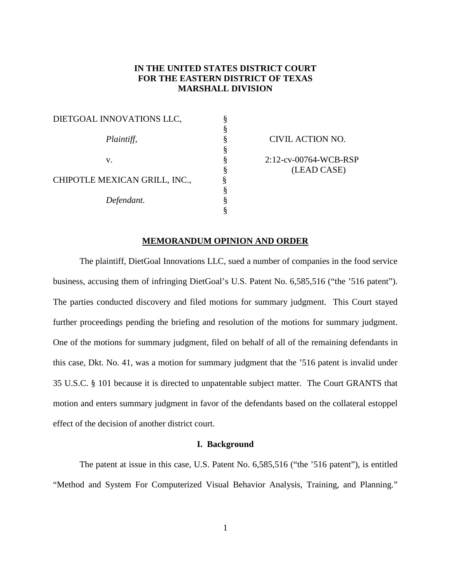# **IN THE UNITED STATES DISTRICT COURT FOR THE EASTERN DISTRICT OF TEXAS MARSHALL DIVISION**

| DIETGOAL INNOVATIONS LLC,     |  |
|-------------------------------|--|
|                               |  |
| Plaintiff,                    |  |
|                               |  |
| v.                            |  |
|                               |  |
| CHIPOTLE MEXICAN GRILL, INC., |  |
|                               |  |
| Defendant.                    |  |
|                               |  |

*Plaintiff,* § CIVIL ACTION NO. 8 2:12-cv-00764-WCB-RSP<br>8 (LEAD CASE) § (LEAD CASE)

### **MEMORANDUM OPINION AND ORDER**

The plaintiff, DietGoal Innovations LLC, sued a number of companies in the food service business, accusing them of infringing DietGoal's U.S. Patent No. 6,585,516 ("the '516 patent"). The parties conducted discovery and filed motions for summary judgment. This Court stayed further proceedings pending the briefing and resolution of the motions for summary judgment. One of the motions for summary judgment, filed on behalf of all of the remaining defendants in this case, Dkt. No. 41, was a motion for summary judgment that the '516 patent is invalid under 35 U.S.C. § 101 because it is directed to unpatentable subject matter. The Court GRANTS that motion and enters summary judgment in favor of the defendants based on the collateral estoppel effect of the decision of another district court.

#### **I. Background**

The patent at issue in this case, U.S. Patent No. 6,585,516 ("the '516 patent"), is entitled "Method and System For Computerized Visual Behavior Analysis, Training, and Planning."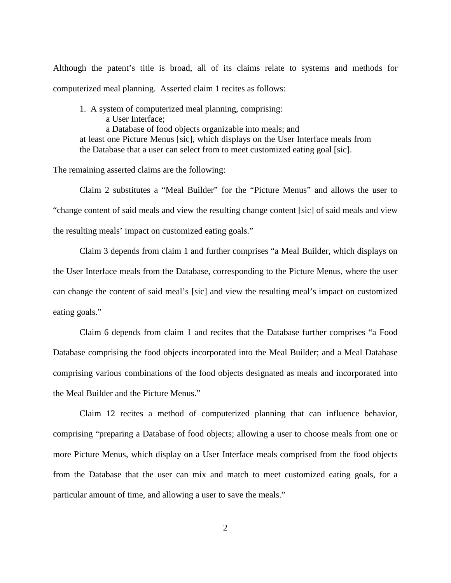Although the patent's title is broad, all of its claims relate to systems and methods for computerized meal planning. Asserted claim 1 recites as follows:

1. A system of computerized meal planning, comprising: a User Interface; a Database of food objects organizable into meals; and at least one Picture Menus [sic], which displays on the User Interface meals from the Database that a user can select from to meet customized eating goal [sic].

The remaining asserted claims are the following:

Claim 2 substitutes a "Meal Builder" for the "Picture Menus" and allows the user to "change content of said meals and view the resulting change content [sic] of said meals and view the resulting meals' impact on customized eating goals."

Claim 3 depends from claim 1 and further comprises "a Meal Builder, which displays on the User Interface meals from the Database, corresponding to the Picture Menus, where the user can change the content of said meal's [sic] and view the resulting meal's impact on customized eating goals."

Claim 6 depends from claim 1 and recites that the Database further comprises "a Food Database comprising the food objects incorporated into the Meal Builder; and a Meal Database comprising various combinations of the food objects designated as meals and incorporated into the Meal Builder and the Picture Menus."

Claim 12 recites a method of computerized planning that can influence behavior, comprising "preparing a Database of food objects; allowing a user to choose meals from one or more Picture Menus, which display on a User Interface meals comprised from the food objects from the Database that the user can mix and match to meet customized eating goals, for a particular amount of time, and allowing a user to save the meals."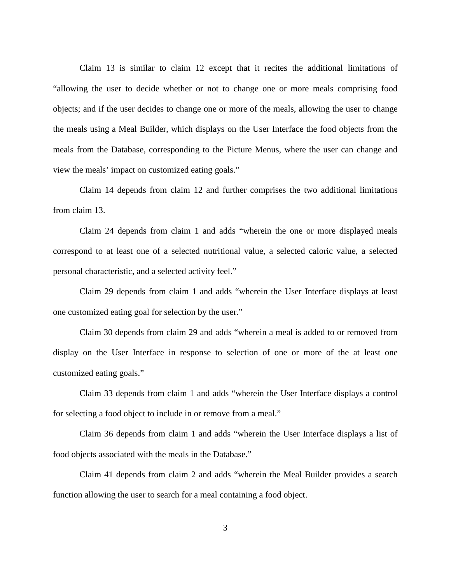Claim 13 is similar to claim 12 except that it recites the additional limitations of "allowing the user to decide whether or not to change one or more meals comprising food objects; and if the user decides to change one or more of the meals, allowing the user to change the meals using a Meal Builder, which displays on the User Interface the food objects from the meals from the Database, corresponding to the Picture Menus, where the user can change and view the meals' impact on customized eating goals."

Claim 14 depends from claim 12 and further comprises the two additional limitations from claim 13.

Claim 24 depends from claim 1 and adds "wherein the one or more displayed meals correspond to at least one of a selected nutritional value, a selected caloric value, a selected personal characteristic, and a selected activity feel."

Claim 29 depends from claim 1 and adds "wherein the User Interface displays at least one customized eating goal for selection by the user."

Claim 30 depends from claim 29 and adds "wherein a meal is added to or removed from display on the User Interface in response to selection of one or more of the at least one customized eating goals."

Claim 33 depends from claim 1 and adds "wherein the User Interface displays a control for selecting a food object to include in or remove from a meal."

Claim 36 depends from claim 1 and adds "wherein the User Interface displays a list of food objects associated with the meals in the Database."

Claim 41 depends from claim 2 and adds "wherein the Meal Builder provides a search function allowing the user to search for a meal containing a food object.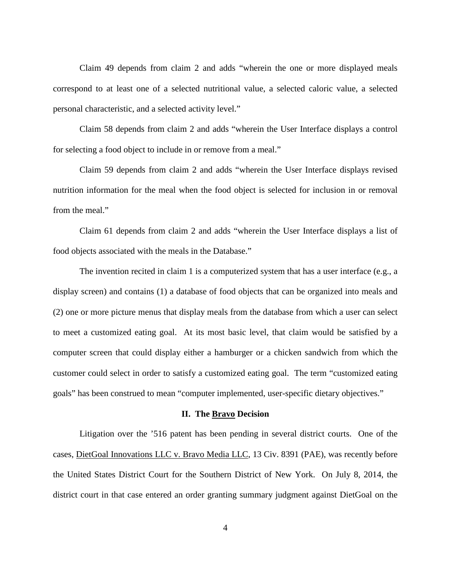Claim 49 depends from claim 2 and adds "wherein the one or more displayed meals correspond to at least one of a selected nutritional value, a selected caloric value, a selected personal characteristic, and a selected activity level."

Claim 58 depends from claim 2 and adds "wherein the User Interface displays a control for selecting a food object to include in or remove from a meal."

Claim 59 depends from claim 2 and adds "wherein the User Interface displays revised nutrition information for the meal when the food object is selected for inclusion in or removal from the meal."

Claim 61 depends from claim 2 and adds "wherein the User Interface displays a list of food objects associated with the meals in the Database."

The invention recited in claim 1 is a computerized system that has a user interface (e.g., a display screen) and contains (1) a database of food objects that can be organized into meals and (2) one or more picture menus that display meals from the database from which a user can select to meet a customized eating goal. At its most basic level, that claim would be satisfied by a computer screen that could display either a hamburger or a chicken sandwich from which the customer could select in order to satisfy a customized eating goal. The term "customized eating goals" has been construed to mean "computer implemented, user-specific dietary objectives."

#### **II. The Bravo Decision**

Litigation over the '516 patent has been pending in several district courts. One of the cases, DietGoal Innovations LLC v. Bravo Media LLC, 13 Civ. 8391 (PAE), was recently before the United States District Court for the Southern District of New York. On July 8, 2014, the district court in that case entered an order granting summary judgment against DietGoal on the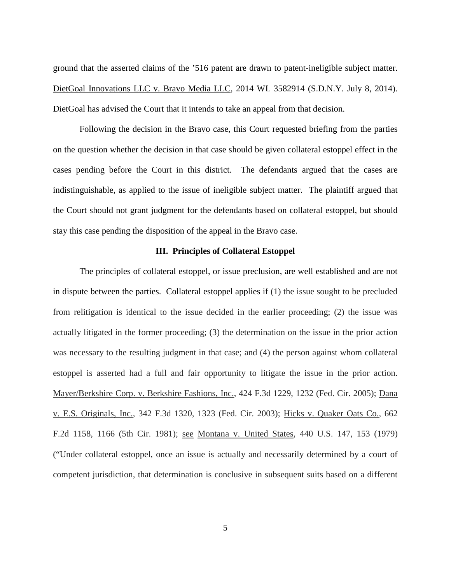ground that the asserted claims of the '516 patent are drawn to patent-ineligible subject matter. DietGoal Innovations LLC v. Bravo Media LLC, 2014 WL 3582914 (S.D.N.Y. July 8, 2014). DietGoal has advised the Court that it intends to take an appeal from that decision.

Following the decision in the Bravo case, this Court requested briefing from the parties on the question whether the decision in that case should be given collateral estoppel effect in the cases pending before the Court in this district. The defendants argued that the cases are indistinguishable, as applied to the issue of ineligible subject matter. The plaintiff argued that the Court should not grant judgment for the defendants based on collateral estoppel, but should stay this case pending the disposition of the appeal in the Bravo case.

### **III. Principles of Collateral Estoppel**

The principles of collateral estoppel, or issue preclusion, are well established and are not in dispute between the parties. Collateral estoppel applies if (1) the issue sought to be precluded from relitigation is identical to the issue decided in the earlier proceeding; (2) the issue was actually litigated in the former proceeding; (3) the determination on the issue in the prior action was necessary to the resulting judgment in that case; and (4) the person against whom collateral estoppel is asserted had a full and fair opportunity to litigate the issue in the prior action. Mayer/Berkshire Corp. v. Berkshire Fashions, Inc., 424 F.3d 1229, 1232 (Fed. Cir. 2005); Dana v. E.S. Originals, Inc., 342 F.3d 1320, 1323 (Fed. Cir. 2003); Hicks v. Quaker Oats Co., 662 F.2d 1158, 1166 (5th Cir. 1981); see Montana v. United States, 440 U.S. 147, 153 (1979) ("Under collateral estoppel, once an issue is actually and necessarily determined by a court of competent jurisdiction, that determination is conclusive in subsequent suits based on a different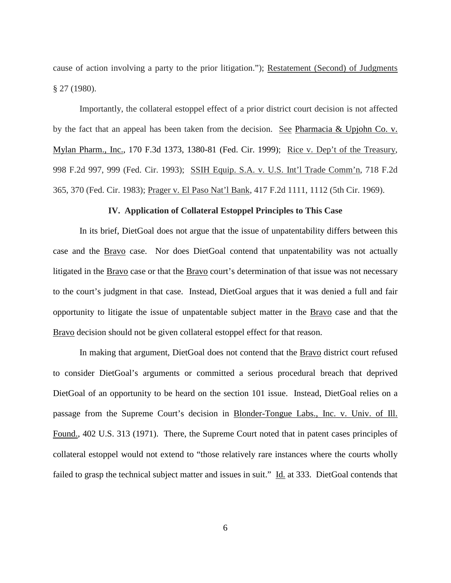cause of action involving a party to the prior litigation."); Restatement (Second) of Judgments § 27 (1980).

Importantly, the collateral estoppel effect of a prior district court decision is not affected by the fact that an appeal has been taken from the decision. See Pharmacia & Upjohn Co. v. Mylan Pharm., Inc., 170 F.3d 1373, 1380-81 (Fed. Cir. 1999); Rice v. Dep't of the Treasury, 998 F.2d 997, 999 (Fed. Cir. 1993); SSIH Equip. S.A. v. U.S. Int'l Trade Comm'n, 718 F.2d 365, 370 (Fed. Cir. 1983); Prager v. El Paso Nat'l Bank, 417 F.2d 1111, 1112 (5th Cir. 1969).

## **IV. Application of Collateral Estoppel Principles to This Case**

In its brief, DietGoal does not argue that the issue of unpatentability differs between this case and the **Bravo** case. Nor does DietGoal contend that unpatentability was not actually litigated in the Bravo case or that the Bravo court's determination of that issue was not necessary to the court's judgment in that case. Instead, DietGoal argues that it was denied a full and fair opportunity to litigate the issue of unpatentable subject matter in the Bravo case and that the Bravo decision should not be given collateral estoppel effect for that reason.

In making that argument, DietGoal does not contend that the Bravo district court refused to consider DietGoal's arguments or committed a serious procedural breach that deprived DietGoal of an opportunity to be heard on the section 101 issue. Instead, DietGoal relies on a passage from the Supreme Court's decision in Blonder-Tongue Labs., Inc. v. Univ. of Ill. Found., 402 U.S. 313 (1971). There, the Supreme Court noted that in patent cases principles of collateral estoppel would not extend to "those relatively rare instances where the courts wholly failed to grasp the technical subject matter and issues in suit." Id. at 333. DietGoal contends that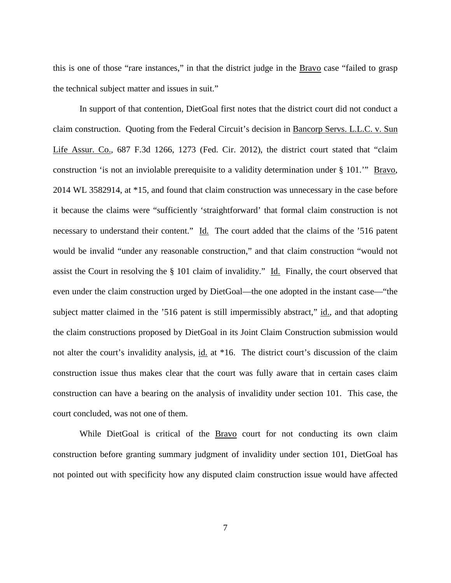this is one of those "rare instances," in that the district judge in the Bravo case "failed to grasp the technical subject matter and issues in suit."

In support of that contention, DietGoal first notes that the district court did not conduct a claim construction. Quoting from the Federal Circuit's decision in Bancorp Servs. L.L.C. v. Sun Life Assur. Co., 687 F.3d 1266, 1273 (Fed. Cir. 2012), the district court stated that "claim construction 'is not an inviolable prerequisite to a validity determination under § 101." Bravo, 2014 WL 3582914, at \*15, and found that claim construction was unnecessary in the case before it because the claims were "sufficiently 'straightforward' that formal claim construction is not necessary to understand their content." Id. The court added that the claims of the '516 patent would be invalid "under any reasonable construction," and that claim construction "would not assist the Court in resolving the § 101 claim of invalidity." Id. Finally, the court observed that even under the claim construction urged by DietGoal—the one adopted in the instant case—"the subject matter claimed in the '516 patent is still impermissibly abstract," id., and that adopting the claim constructions proposed by DietGoal in its Joint Claim Construction submission would not alter the court's invalidity analysis, id. at \*16. The district court's discussion of the claim construction issue thus makes clear that the court was fully aware that in certain cases claim construction can have a bearing on the analysis of invalidity under section 101. This case, the court concluded, was not one of them.

While DietGoal is critical of the Bravo court for not conducting its own claim construction before granting summary judgment of invalidity under section 101, DietGoal has not pointed out with specificity how any disputed claim construction issue would have affected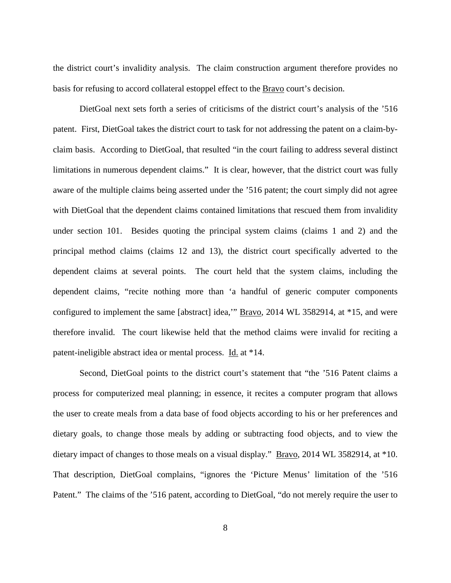the district court's invalidity analysis. The claim construction argument therefore provides no basis for refusing to accord collateral estoppel effect to the **Bravo** court's decision.

DietGoal next sets forth a series of criticisms of the district court's analysis of the '516 patent. First, DietGoal takes the district court to task for not addressing the patent on a claim-byclaim basis. According to DietGoal, that resulted "in the court failing to address several distinct limitations in numerous dependent claims." It is clear, however, that the district court was fully aware of the multiple claims being asserted under the '516 patent; the court simply did not agree with DietGoal that the dependent claims contained limitations that rescued them from invalidity under section 101. Besides quoting the principal system claims (claims 1 and 2) and the principal method claims (claims 12 and 13), the district court specifically adverted to the dependent claims at several points. The court held that the system claims, including the dependent claims, "recite nothing more than 'a handful of generic computer components configured to implement the same [abstract] idea,'" Bravo, 2014 WL 3582914, at \*15, and were therefore invalid. The court likewise held that the method claims were invalid for reciting a patent-ineligible abstract idea or mental process. Id. at \*14.

Second, DietGoal points to the district court's statement that "the '516 Patent claims a process for computerized meal planning; in essence, it recites a computer program that allows the user to create meals from a data base of food objects according to his or her preferences and dietary goals, to change those meals by adding or subtracting food objects, and to view the dietary impact of changes to those meals on a visual display." Bravo, 2014 WL 3582914, at \*10. That description, DietGoal complains, "ignores the 'Picture Menus' limitation of the '516 Patent." The claims of the '516 patent, according to DietGoal, "do not merely require the user to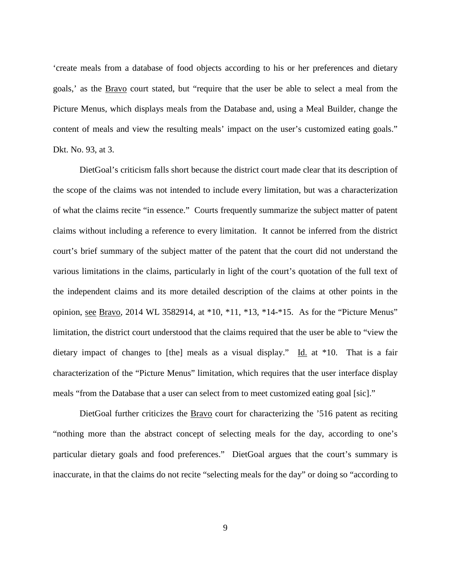'create meals from a database of food objects according to his or her preferences and dietary goals,' as the Bravo court stated, but "require that the user be able to select a meal from the Picture Menus, which displays meals from the Database and, using a Meal Builder, change the content of meals and view the resulting meals' impact on the user's customized eating goals." Dkt. No. 93, at 3.

DietGoal's criticism falls short because the district court made clear that its description of the scope of the claims was not intended to include every limitation, but was a characterization of what the claims recite "in essence." Courts frequently summarize the subject matter of patent claims without including a reference to every limitation. It cannot be inferred from the district court's brief summary of the subject matter of the patent that the court did not understand the various limitations in the claims, particularly in light of the court's quotation of the full text of the independent claims and its more detailed description of the claims at other points in the opinion, see Bravo, 2014 WL 3582914, at \*10, \*11, \*13, \*14-\*15. As for the "Picture Menus" limitation, the district court understood that the claims required that the user be able to "view the dietary impact of changes to [the] meals as a visual display." Id. at \*10. That is a fair characterization of the "Picture Menus" limitation, which requires that the user interface display meals "from the Database that a user can select from to meet customized eating goal [sic]."

 DietGoal further criticizes the Bravo court for characterizing the '516 patent as reciting "nothing more than the abstract concept of selecting meals for the day, according to one's particular dietary goals and food preferences." DietGoal argues that the court's summary is inaccurate, in that the claims do not recite "selecting meals for the day" or doing so "according to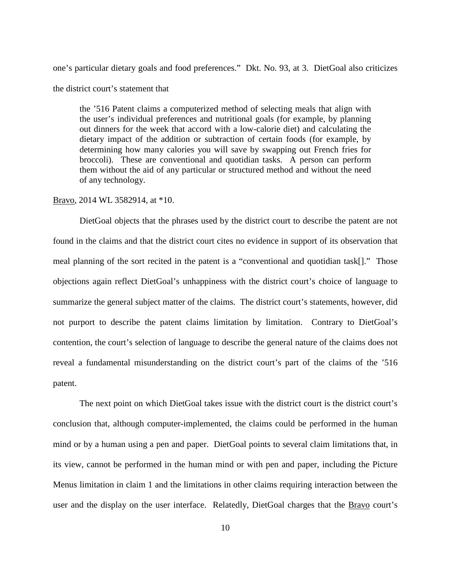one's particular dietary goals and food preferences." Dkt. No. 93, at 3. DietGoal also criticizes the district court's statement that

the '516 Patent claims a computerized method of selecting meals that align with the user's individual preferences and nutritional goals (for example, by planning out dinners for the week that accord with a low-calorie diet) and calculating the dietary impact of the addition or subtraction of certain foods (for example, by determining how many calories you will save by swapping out French fries for broccoli). These are conventional and quotidian tasks. A person can perform them without the aid of any particular or structured method and without the need of any technology.

### Bravo, 2014 WL 3582914, at \*10.

DietGoal objects that the phrases used by the district court to describe the patent are not found in the claims and that the district court cites no evidence in support of its observation that meal planning of the sort recited in the patent is a "conventional and quotidian task[]." Those objections again reflect DietGoal's unhappiness with the district court's choice of language to summarize the general subject matter of the claims. The district court's statements, however, did not purport to describe the patent claims limitation by limitation. Contrary to DietGoal's contention, the court's selection of language to describe the general nature of the claims does not reveal a fundamental misunderstanding on the district court's part of the claims of the '516 patent.

The next point on which DietGoal takes issue with the district court is the district court's conclusion that, although computer-implemented, the claims could be performed in the human mind or by a human using a pen and paper. DietGoal points to several claim limitations that, in its view, cannot be performed in the human mind or with pen and paper, including the Picture Menus limitation in claim 1 and the limitations in other claims requiring interaction between the user and the display on the user interface. Relatedly, DietGoal charges that the **Bravo** court's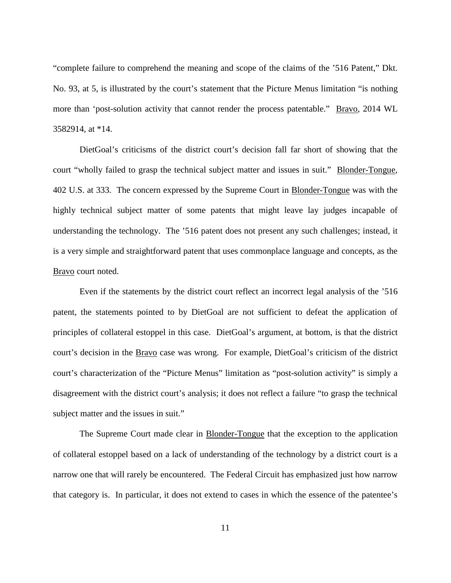"complete failure to comprehend the meaning and scope of the claims of the '516 Patent," Dkt. No. 93, at 5, is illustrated by the court's statement that the Picture Menus limitation "is nothing more than 'post-solution activity that cannot render the process patentable." Bravo, 2014 WL 3582914, at \*14.

DietGoal's criticisms of the district court's decision fall far short of showing that the court "wholly failed to grasp the technical subject matter and issues in suit." Blonder-Tongue, 402 U.S. at 333. The concern expressed by the Supreme Court in Blonder-Tongue was with the highly technical subject matter of some patents that might leave lay judges incapable of understanding the technology. The '516 patent does not present any such challenges; instead, it is a very simple and straightforward patent that uses commonplace language and concepts, as the Bravo court noted.

Even if the statements by the district court reflect an incorrect legal analysis of the '516 patent, the statements pointed to by DietGoal are not sufficient to defeat the application of principles of collateral estoppel in this case. DietGoal's argument, at bottom, is that the district court's decision in the **Bravo** case was wrong. For example, DietGoal's criticism of the district court's characterization of the "Picture Menus" limitation as "post-solution activity" is simply a disagreement with the district court's analysis; it does not reflect a failure "to grasp the technical subject matter and the issues in suit."

The Supreme Court made clear in Blonder-Tongue that the exception to the application of collateral estoppel based on a lack of understanding of the technology by a district court is a narrow one that will rarely be encountered. The Federal Circuit has emphasized just how narrow that category is. In particular, it does not extend to cases in which the essence of the patentee's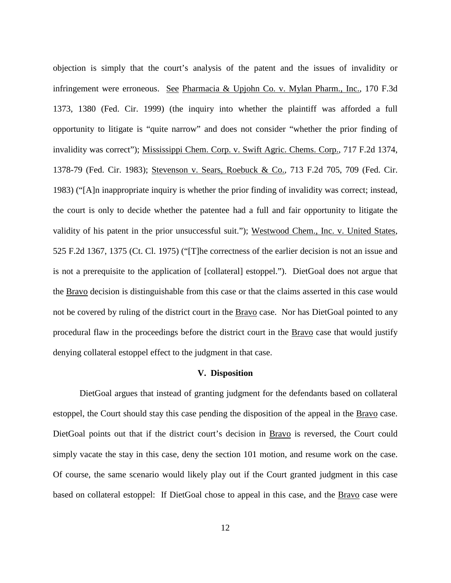objection is simply that the court's analysis of the patent and the issues of invalidity or infringement were erroneous. See Pharmacia & Upjohn Co. v. Mylan Pharm., Inc., 170 F.3d 1373, 1380 (Fed. Cir. 1999) (the inquiry into whether the plaintiff was afforded a full opportunity to litigate is "quite narrow" and does not consider "whether the prior finding of invalidity was correct"); Mississippi Chem. Corp. v. Swift Agric. Chems. Corp., 717 F.2d 1374, 1378-79 (Fed. Cir. 1983); Stevenson v. Sears, Roebuck & Co., 713 F.2d 705, 709 (Fed. Cir. 1983) ("[A]n inappropriate inquiry is whether the prior finding of invalidity was correct; instead, the court is only to decide whether the patentee had a full and fair opportunity to litigate the validity of his patent in the prior unsuccessful suit."); Westwood Chem., Inc. v. United States, 525 F.2d 1367, 1375 (Ct. Cl. 1975) ("[T]he correctness of the earlier decision is not an issue and is not a prerequisite to the application of [collateral] estoppel."). DietGoal does not argue that the Bravo decision is distinguishable from this case or that the claims asserted in this case would not be covered by ruling of the district court in the Bravo case. Nor has DietGoal pointed to any procedural flaw in the proceedings before the district court in the Bravo case that would justify denying collateral estoppel effect to the judgment in that case.

## **V. Disposition**

 DietGoal argues that instead of granting judgment for the defendants based on collateral estoppel, the Court should stay this case pending the disposition of the appeal in the Bravo case. DietGoal points out that if the district court's decision in Bravo is reversed, the Court could simply vacate the stay in this case, deny the section 101 motion, and resume work on the case. Of course, the same scenario would likely play out if the Court granted judgment in this case based on collateral estoppel: If DietGoal chose to appeal in this case, and the Bravo case were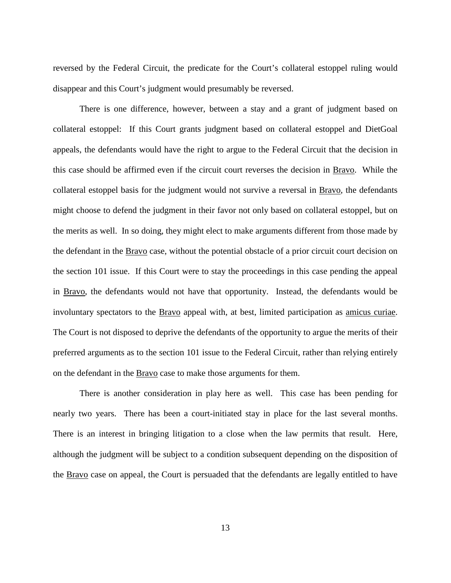reversed by the Federal Circuit, the predicate for the Court's collateral estoppel ruling would disappear and this Court's judgment would presumably be reversed.

There is one difference, however, between a stay and a grant of judgment based on collateral estoppel: If this Court grants judgment based on collateral estoppel and DietGoal appeals, the defendants would have the right to argue to the Federal Circuit that the decision in this case should be affirmed even if the circuit court reverses the decision in Bravo. While the collateral estoppel basis for the judgment would not survive a reversal in Bravo, the defendants might choose to defend the judgment in their favor not only based on collateral estoppel, but on the merits as well. In so doing, they might elect to make arguments different from those made by the defendant in the **Bravo** case, without the potential obstacle of a prior circuit court decision on the section 101 issue. If this Court were to stay the proceedings in this case pending the appeal in Bravo, the defendants would not have that opportunity. Instead, the defendants would be involuntary spectators to the Bravo appeal with, at best, limited participation as amicus curiae. The Court is not disposed to deprive the defendants of the opportunity to argue the merits of their preferred arguments as to the section 101 issue to the Federal Circuit, rather than relying entirely on the defendant in the Bravo case to make those arguments for them.

There is another consideration in play here as well. This case has been pending for nearly two years. There has been a court-initiated stay in place for the last several months. There is an interest in bringing litigation to a close when the law permits that result. Here, although the judgment will be subject to a condition subsequent depending on the disposition of the Bravo case on appeal, the Court is persuaded that the defendants are legally entitled to have